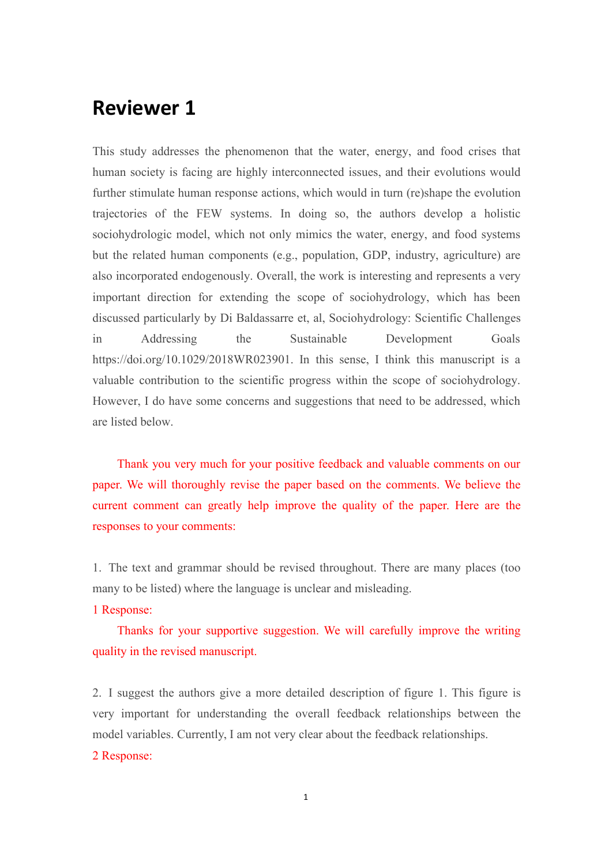# **Reviewer 1**

This study addresses the phenomenon that the water, energy, and food crises that human society is facing are highly interconnected issues, and their evolutions would further stimulate human response actions, which would in turn (re)shape the evolution trajectories of the FEW systems. In doing so, the authors develop a holistic sociohydrologic model, which not only mimics the water, energy, and food systems but the related human components (e.g., population, GDP, industry, agriculture) are also incorporated endogenously. Overall, the work is interesting and represents a very important direction for extending the scope of sociohydrology, which has been discussed particularly by Di Baldassarre et, al, Sociohydrology: Scientific Challenges in Addressing the Sustainable Development Goals https://doi.org/10.1029/2018WR023901. In this sense, I think this manuscript is a valuable contribution to the scientific progress within the scope of sociohydrology. However, I do have some concerns and suggestions that need to be addressed, which are listed below.

Thank you very much for your positive feedback and valuable comments on our paper. We will thoroughly revise the paper based on the comments. We believe the current comment can greatly help improve the quality of the paper. Here are the responses to your comments:

1. The text and grammar should be revised throughout. There are many places (too many to be listed) where the language is unclear and misleading.

1 Response:

Thanks for your supportive suggestion. We will carefully improve the writing quality in the revised manuscript.

2. I suggest the authors give a more detailed description of figure 1. This figure is very important for understanding the overall feedback relationships between the model variables. Currently, I am not very clear about the feedback relationships. 2 Response: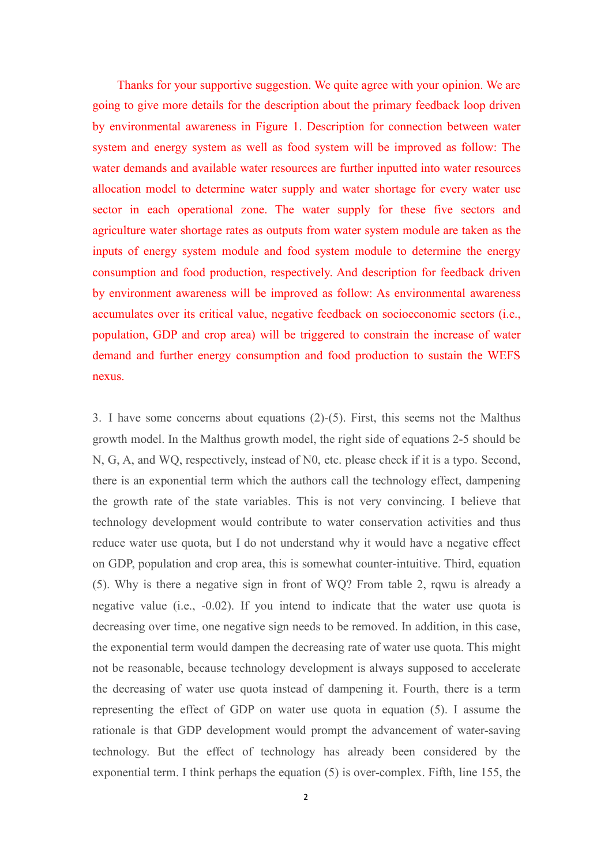Thanks for your supportive suggestion. We quite agree with your opinion. We are going to give more details for the description about the primary feedback loop driven by environmental awareness in Figure 1. Description for connection between water system and energy system as well as food system will be improved as follow: The water demands and available water resources are further inputted into water resources allocation model to determine water supply and water shortage for every water use sector in each operational zone. The water supply for these five sectors and agriculture water shortage rates as outputs from water system module are taken as the inputs of energy system module and food system module to determine the energy consumption and food production, respectively. And description for feedback driven by environment awareness will be improved as follow: As environmental awareness accumulates over its critical value, negative feedback on socioeconomic sectors (i.e., population, GDP and crop area) will be triggered to constrain the increase of water demand and further energy consumption and food production to sustain the WEFS nexus.

3. I have some concerns about equations (2)-(5). First, this seems not the Malthus growth model. In the Malthus growth model, the right side of equations 2-5 should be N, G, A, and WQ, respectively, instead of N0, etc. please check if it is a typo. Second, there is an exponential term which the authors call the technology effect, dampening the growth rate of the state variables. This is not very convincing. I believe that technology development would contribute to water conservation activities and thus reduce water use quota, but I do not understand why it would have a negative effect on GDP, population and crop area, this is somewhat counter-intuitive. Third, equation (5). Why is there a negative sign in front of WQ? From table 2, rqwu is already a negative value (i.e., -0.02). If you intend to indicate that the water use quota is decreasing over time, one negative sign needs to be removed. In addition, in this case, the exponential term would dampen the decreasing rate of water use quota. This might not be reasonable, because technology development is always supposed to accelerate the decreasing of water use quota instead of dampening it. Fourth, there is a term representing the effect of GDP on water use quota in equation (5). I assume the rationale is that GDP development would prompt the advancement of water-saving technology. But the effect of technology has already been considered by the exponential term. I think perhaps the equation (5) is over-complex. Fifth, line 155, the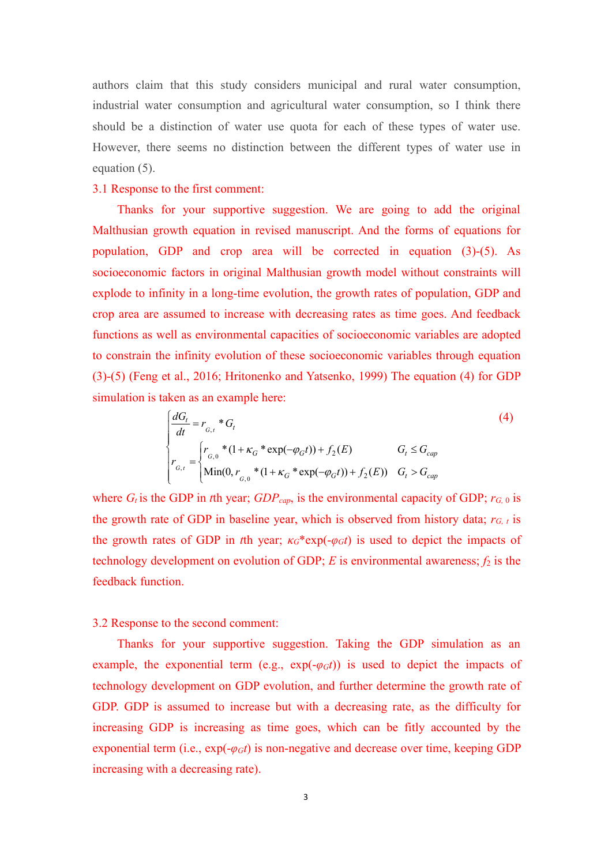authors claim that this study considers municipal and rural water consumption, industrial water consumption and agricultural water consumption, so I think there should be a distinction of water use quota for each of these types of water use. However, there seems no distinction between the different types of water use in equation (5).

# 3.1 Response to the first comment:

Thanks for your supportive suggestion. We are going to add the original Malthusian growth equation in revised manuscript. And the forms of equations for population, GDP and crop area will be corrected in equation (3)-(5). As socioeconomic factors in original Malthusian growth model without constraints will explode to infinity in a long-time evolution, the growth rates of population, GDP and crop area are assumed to increase with decreasing rates as time goes. And feedback functions as well as environmental capacities of socioeconomic variables are adopted to constrain the infinity evolution of these socioeconomic variables through equation (3)-(5) (Feng et al., 2016; Hritonenko and Yatsenko, 1999) The equation (4) for GDP simulation is taken as an example here:

$$
\begin{cases}\n\frac{dG_t}{dt} = r_{G,t} * G_t & (4) \\
r_{G,t} = \begin{cases}\nr_{G,t} * (1 + \kappa_G * \exp(-\varphi_G t)) + f_2(E) & G_t \le G_{cap} \\
\text{Min}(0, r_{G,t} * (1 + \kappa_G * \exp(-\varphi_G t)) + f_2(E)) & G_t > G_{cap}\n\end{cases}\n\end{cases}
$$
\n(4)

where  $G_t$  is the GDP in *t*th year;  $GDP_{cap}$ , is the environmental capacity of GDP;  $r_{G,0}$  is the growth rate of GDP in baseline year, which is observed from history data;  $r_{G, t}$  is the growth rates of GDP in *t*th year;  $\kappa_G^*$ exp(- $\varphi_G t$ ) is used to depict the impacts of technology development on evolution of GDP;  $E$  is environmental awareness;  $f_2$  is the feedback function.

# 3.2 Response to the second comment:

Thanks for your supportive suggestion. Taking the GDP simulation as an example, the exponential term (e.g.,  $exp(-\varphi_G t)$ ) is used to depict the impacts of technology development on GDP evolution, and further determine the growth rate of GDP. GDP is assumed to increase but with a decreasing rate, as the difficulty for increasing GDP is increasing as time goes, which can be fitly accounted by the exponential term (i.e.,  $exp(-\varphi_G t)$  is non-negative and decrease over time, keeping GDP increasing with a decreasing rate).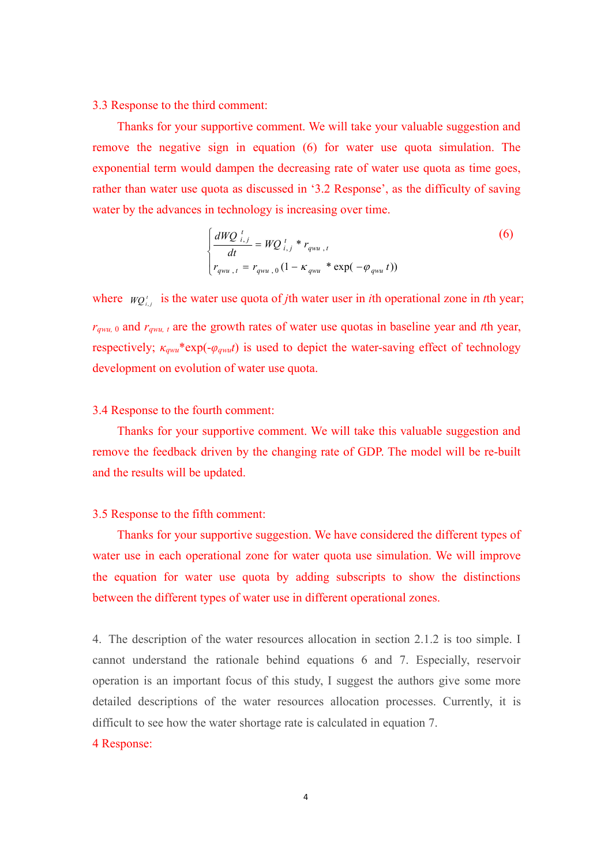#### 3.3 Response to the third comment:

Thanks for your supportive comment. We will take your valuable suggestion and remove the negative sign in equation (6) for water use quota simulation. The exponential term would dampen the decreasing rate of water use quota as time goes, rather than water use quota as discussed in '3.2 Response', as the difficulty of saving water by the advances in technology is increasing over time.

$$
\begin{cases}\n\frac{dWQ_{i,j}}{dt} = WQ_{i,j}^t * r_{qwu,t} \\
r_{qwu,t} = r_{qwu,0} (1 - \kappa_{qwu} * \exp(-\varphi_{qwu} t))\n\end{cases}
$$
\n(6)

where  $WQ_{i,j}^t$  is the water use quota of *j*th water user in *i*th operational zone in *t*th year; *r*<sub>*qwu,* 0 and *r*<sub>*qwu, t*</sub> are the growth rates of water use quotas in baseline year and *t*th year,</sub> respectively; *κqwu*\*exp(-*φqwut*) is used to depict the water-saving effect of technology development on evolution of water use quota.

## 3.4 Response to the fourth comment:

Thanks for your supportive comment. We will take this valuable suggestion and remove the feedback driven by the changing rate of GDP.The model will be re-built and the results will be updated.3.5 Response to the fifth comment:

Thanks for your supportive suggestion. We have considered the different types of water use in each operational zone for water quota use simulation. We will improve the equation for water use quota by adding subscripts to show the distinctions between the different types of water use in different operational zones.

4. The description of the water resources allocation in section 2.1.2 is too simple. I cannot understand the rationale behind equations 6 and 7. Especially, reservoir operation is an important focus of this study, I suggest the authors give some more detailed descriptions of the water resources allocation processes. Currently, it is difficult to see how the water shortage rate is calculated in equation 7.

#### 4 Response: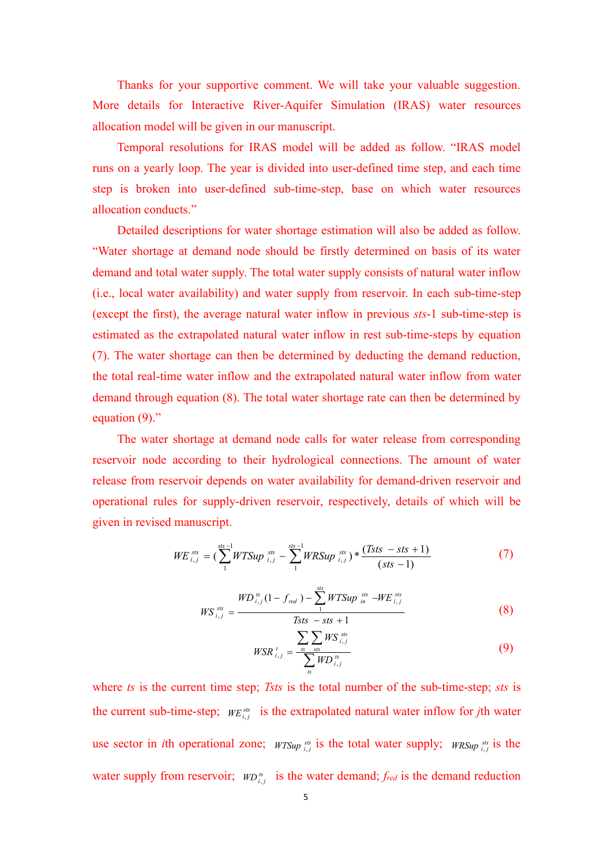Thanks for your supportive comment. We will take your valuable suggestion. More details for Interactive River-Aquifer Simulation (IRAS) water resources allocation model will be given in our manuscript.

Temporal resolutions for IRAS model will be added as follow. "IRAS model runs on a yearly loop. The year is divided into user-defined time step, and each time step is broken into user-defined sub-time-step, base on which water resources allocation conducts."

Detailed descriptions for water shortage estimation will also be added as follow. "Water shortage at demand node should be firstly determined on basis of its water demand and total water supply. The total water supply consists of natural water inflow (i.e., local water availability) and water supply from reservoir. In each sub-time-step (except the first), the average natural water inflow in previous *sts*-1 sub-time-step is estimated as the extrapolated natural water inflow in rest sub-time-steps by equation (7). The water shortage can then be determined by deducting the demand reduction, the total real-time water inflow and the extrapolated natural water inflow from water demand through equation (8). The total water shortage rate can then be determined by equation (9)."

The water shortage at demand node calls for water release from corresponding reservoir node according to their hydrological connections. The amount of water release from reservoir depends on water availability for demand-driven reservoir and operational rules for supply-driven reservoir, respectively, details of which will be given in revised manuscript.

$$
WE_{i,j}^{sts} = (\sum_{1}^{sts-1} WTSup_{i,j}^{sts} - \sum_{1}^{sts-1} WRSup_{i,j}^{sts}) * \frac{(Tsts - sts + 1)}{(sts - 1)}
$$
(7)

$$
WS_{i,j}^{ss} = \frac{WD_{i,j}^{ss}(1 - f_{red}) - \sum_{1}^{sts} WTSup_{in}^{ss} - WE_{i,j}^{sts}}{Tsts - sts + 1}
$$
 (8)

$$
WSR_{i,j}^{t} = \frac{\sum_{ts} \sum_{sts} WS_{i,j}^{sts}}{\sum_{ts} WD_{i,j}^{ts}}
$$
(9)

where *ts*is the current time step; *Tsts* is the total number of the sub-time-step; *sts* is the current sub-time-step;  $WE_{i,j}^{ss}$  is the extrapolated natural water inflow for *j*th water use sector in *i*th operational zone;  $WTSup_{i,j}^{ss}$  is the total water supply;  $WRSup_{i,j}^{ss}$  is the water supply from reservoir;  $WD^{ts}_{i,j}$  is the water demand;  $f_{red}$  is the demand reduction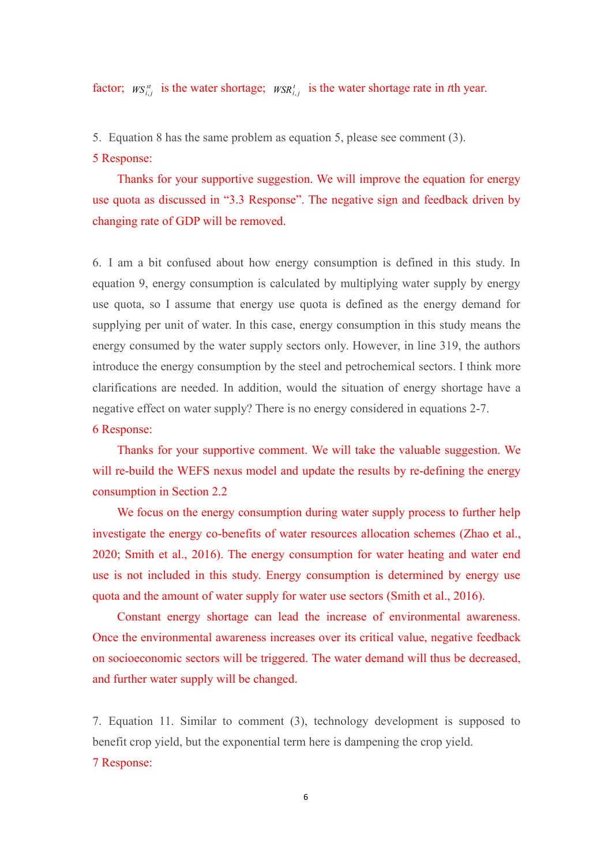factor;  $W S_{i,j}^{st}$  is the water shortage;  $W S R_{i,j}^{t}$  is the water shortage rate in *t*th year.

5. Equation 8 has the same problem as equation 5, please see comment (3).

# 5 Response:

Thanks for your supportive suggestion. We will improve the equation for energy use quota as discussed in "3.3 Response". The negative sign and feedback driven by changing rate of GDP will be removed.

6. I am a bit confused about how energy consumption is defined in this study. In equation 9, energy consumption is calculated by multiplying water supply by energy use quota, so I assume that energy use quota is defined as the energy demand for supplying per unit of water. In this case, energy consumption in this study means the energy consumed by the water supply sectors only. However, in line 319, the authors introduce the energy consumption by the steel and petrochemical sectors. I think more clarifications are needed. In addition, would the situation of energy shortage have a negative effect on water supply? There is no energy considered in equations 2-7.

## 6 Response:

Thanks for your supportive comment. We will take the valuable suggestion. We will re-build the WEFS nexus model and update the results by re-defining the energy consumption in Section 2.2

We focus on the energy consumption during water supply process to further help investigate the energy co-benefits of water resources allocation schemes (Zhao et al., 2020; Smith et al., 2016). The energy consumption for water heating and water end use is not included in this study. Energy consumption is determined by energy use quota and the amount of water supply for water use sectors (Smith et al., 2016).

Constant energy shortage can lead the increase of environmental awareness. Once the environmental awareness increases over its critical value, negative feedback on socioeconomic sectors will be triggered. The water demand will thus be decreased, and further water supply will be changed.

7. Equation 11. Similar to comment(3), technology development is supposed to benefit crop yield, but the exponential term here is dampening the crop yield. 7 Response: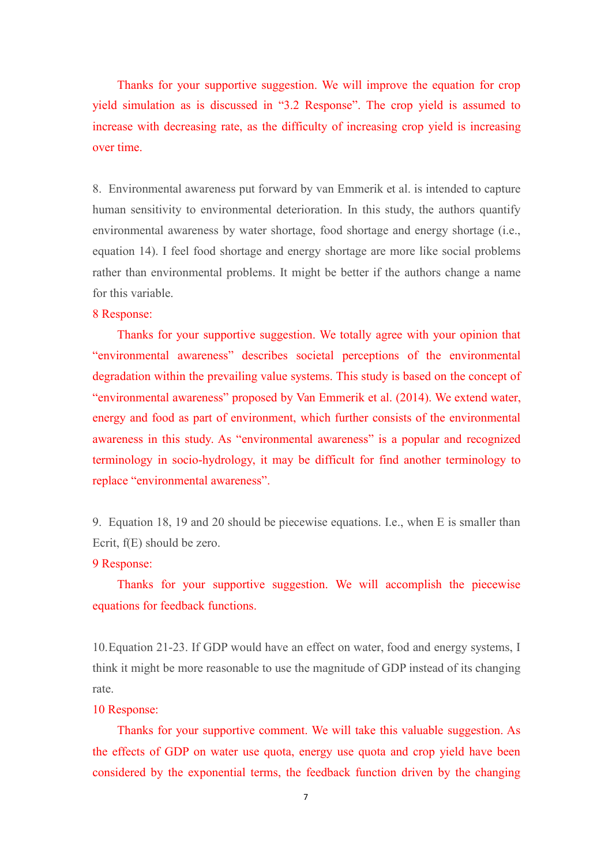Thanks for your supportive suggestion. We will improve the equation for crop yield simulation as is discussed in "3.2 Response". The crop yield is assumed to increase with decreasing rate, as the difficulty of increasing crop yield is increasing over time.

8. Environmental awareness put forward by van Emmerik et al. is intended to capture human sensitivity to environmental deterioration. In this study, the authors quantify environmental awareness by water shortage, food shortage and energy shortage (i.e., equation 14). I feel food shortage and energy shortage are more like social problems rather than environmental problems. It might be better if the authors change a name for this variable.

# 8 Response:

Thanks for your supportive suggestion. We totally agree with your opinion that "environmental awareness" describes societal perceptions of the environmental degradation within the prevailing value systems.This study is based on the concept of "environmental awareness" proposed by Van Emmerik et al. (2014). We extend water, energy and food as part of environment, which further consists of the environmental awareness in this study. As "environmental awareness" is a popular and recognized terminology in socio-hydrology, it may be difficult for find another terminology to replace "environmental awareness".

9. Equation 18, 19 and 20 should be piecewise equations. I.e., when E is smaller than Ecrit, f(E) should be zero.

#### 9 Response:

Thanks for your supportive suggestion. We will accomplish the piecewise equations for feedback functions.

10.Equation 21-23. If GDP would have an effect on water, food and energy systems, I think it might be more reasonable to use the magnitude of GDP instead of its changing rate.

#### 10 Response:

Thanks for your supportive comment. We will take this valuable suggestion. As the effects of GDP on water use quota, energy use quota and crop yield have been considered by the exponential terms, the feedback function driven by the changing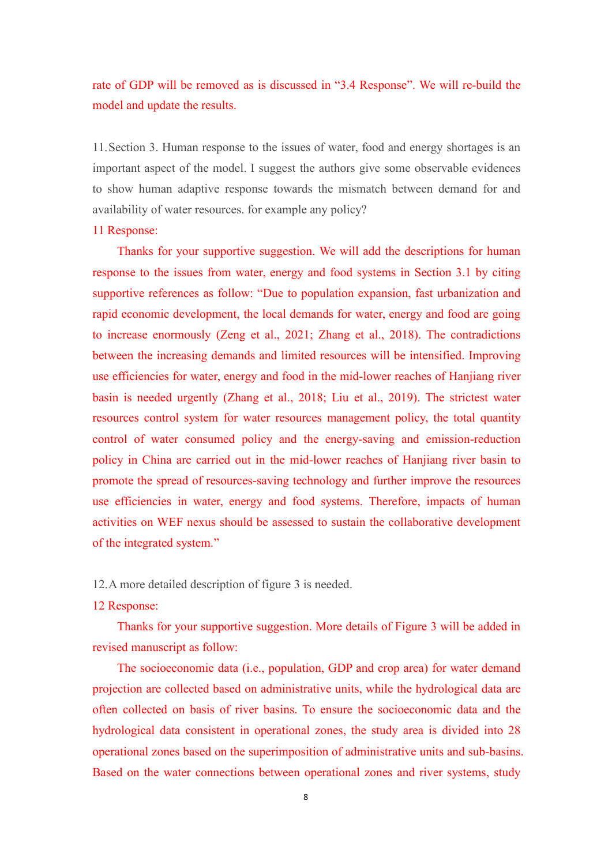rate of GDP will be removed as is discussed in "3.4 Response". We will re-build the model and update the results.

11.Section 3. Human response to the issues of water, food and energy shortages is an important aspect of the model. I suggest the authors give some observable evidences to show human adaptive response towards the mismatch between demand for and availability of water resources. for example any policy?

# 11 Response:

Thanks for your supportive suggestion. We will add the descriptions for human response to the issues from water, energy and food systems in Section 3.1 by citing supportive references as follow: "Due to population expansion, fast urbanization and rapid economic development, the local demands for water, energy and food are going to increase enormously (Zeng et al., 2021; Zhang et al., 2018). The contradictions between the increasing demands and limited resources will be intensified. Improving use efficiencies for water, energy and food in the mid-lower reaches of Hanjiang river basin is needed urgently (Zhang et al., 2018; Liu et al., 2019). The strictest water resources control system for water resources management policy, the total quantity control of water consumed policy and the energy-saving and emission-reduction policy in China are carried out in the mid-lower reaches of Hanjiang river basin to promote the spread of resources-saving technology and further improve the resources use efficiencies in water, energy and food systems. Therefore, impacts of human activities on WEF nexus should be assessed to sustain the collaborative development of the integrated system."

12.A more detailed description of figure 3 is needed.

# 12 Response:

Thanks for your supportive suggestion. More details of Figure 3 will be added in revised manuscript as follow:

The socioeconomic data (i.e., population, GDP and crop area) for water demand projection are collected based on administrative units, while the hydrological data are often collected on basis of river basins. To ensure the socioeconomic data and the hydrological data consistent in operational zones, the study area is divided into 28 operational zones based on the superimposition of administrative units and sub-basins. Based on the water connections between operational zones and river systems, study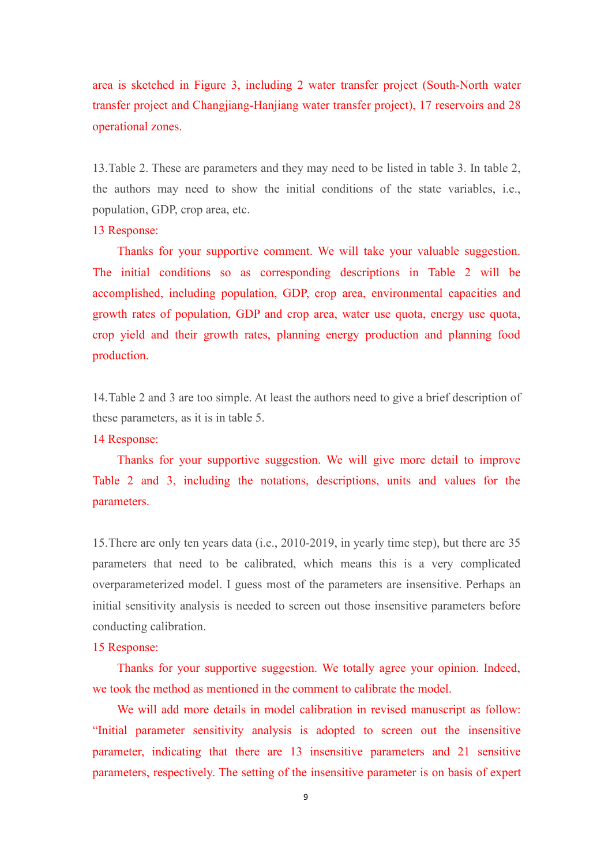area is sketched in Figure 3, including 2 water transfer project (South-North water transfer project and Changjiang-Hanjiang water transfer project), 17 reservoirs and 28 operational zones.

13.Table 2. These are parameters and they may need to be listed in table 3. In table 2, the authors may need to show the initial conditions of the state variables, i.e., population, GDP, crop area, etc.

# 13 Response:

Thanks for your supportive comment. We will take your valuable suggestion. The initial conditions so as corresponding descriptions in Table 2 will be accomplished, including population, GDP, crop area, environmental capacities and growth rates of population, GDP and crop area, water use quota, energy use quota, crop yield and their growth rates, planning energy production and planning food production.

14.Table 2 and 3 are too simple. At least the authors need to give a brief description of these parameters, as it is in table 5.

#### 14 Response:

Thanks for your supportive suggestion. We will give more detail to improve Table 2 and 3, including the notations, descriptions, units and values for the parameters.

15.There are only ten years data (i.e., 2010-2019, in yearly time step), but there are 35 parameters that need to be calibrated, which means this is a very complicated overparameterized model. I guess most of the parameters are insensitive. Perhaps an initial sensitivity analysis is needed to screen out those insensitive parameters before conducting calibration.

# 15 Response:

Thanks for your supportive suggestion. We totally agree your opinion. Indeed, we took the method as mentioned in the comment to calibrate the model.

We will add more details in model calibration in revised manuscript as follow: "Initial parameter sensitivity analysis is adopted to screen out the insensitive parameter, indicating that there are 13 insensitive parameters and 21 sensitive parameters, respectively. The setting of the insensitive parameter is on basis of expert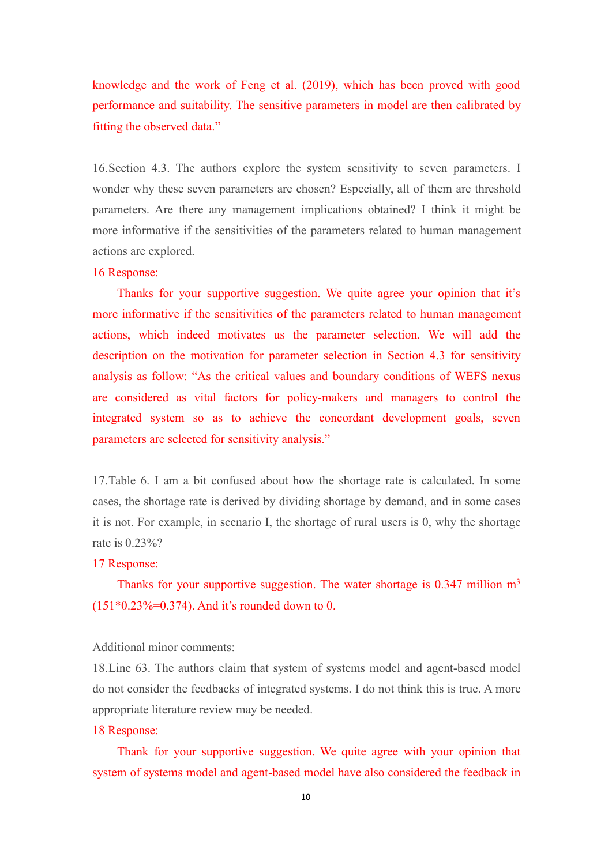knowledge and the work of Feng et al. (2019), which has been proved with good performance and suitability. The sensitive parameters in model are then calibrated by fitting the observed data."

16.Section 4.3. The authors explore the system sensitivity to seven parameters. I wonder why these seven parameters are chosen? Especially, all of them are threshold parameters. Are there any management implications obtained? I think it might be more informative if the sensitivities of the parameters related to human management actions are explored.

## 16 Response:

Thanks for your supportive suggestion. We quite agree your opinion that it's more informative if the sensitivities of the parameters related to human management actions, which indeed motivates us the parameter selection. We will add the description on the motivation for parameter selection in Section 4.3 for sensitivity analysis as follow: "As the critical values and boundary conditions of WEFS nexus are considered as vital factors for policy-makers and managers to control the integrated system so as to achieve the concordant development goals, seven parameters are selected for sensitivity analysis."

17.Table 6. I am a bit confused about how the shortage rate iscalculated. In some cases, the shortage rate is derived by dividing shortage by demand, and in some cases it is not. For example, in scenario I, the shortage of rural users is 0, why the shortage rate is 0.23%?

#### 17 Response:

Thanks for your supportive suggestion. The water shortage is  $0.347$  million m<sup>3</sup>  $(151*0.23\% = 0.374)$ . And it's rounded down to 0.

# Additional minor comments:

18.Line 63. The authors claim that system of systems model and agent-based model do not consider the feedbacks of integrated systems. I do not think this is true.A more appropriate literature review may be needed.

## 18 Response:

Thank for your supportive suggestion. We quite agree with your opinion that system of systems model and agent-based model have also considered the feedback in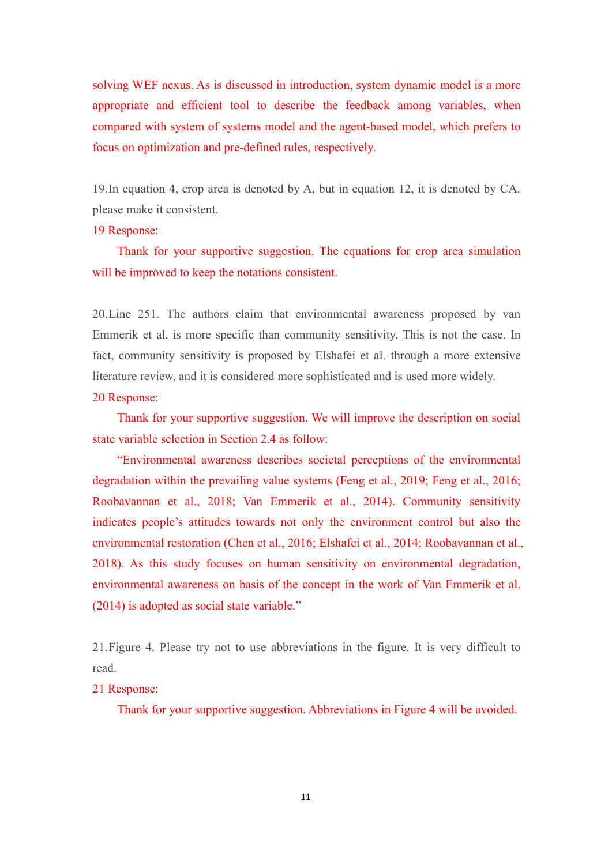solving WEF nexus. As is discussed in introduction, system dynamic model is a more appropriate and efficient tool to describe the feedback among variables, when compared with system of systems model and the agent-based model, which prefers to focus on optimization and pre-defined rules, respectively.

19.In equation 4, crop area isdenoted by A, but in equation 12, it is denoted by CA. please make it consistent.

# 19 Response:

Thank for your supportive suggestion. The equations for crop area simulation will be improved to keep the notations consistent.

20.Line 251. The authors claim that environmental awareness proposed by van Emmerik et al. is more specific than community sensitivity.This is not the case. In fact, community sensitivity is proposed by Elshafei et al. through a more extensive literature review, and it is considered more sophisticated and is used more widely.

## 20 Response:

Thank for your supportive suggestion. We will improve the description on social state variable selection in Section 2.4 as follow:

"Environmental awareness describes societal perceptions of the environmental degradation within the prevailing value systems (Feng et al., 2019; Feng et al., 2016; Roobavannan et al., 2018; Van Emmerik et al., 2014). Community sensitivity indicates people's attitudes towards not only the environment control but also the environmental restoration (Chen et al., 2016; Elshafei et al., 2014; Roobavannan et al., 2018). As this study focuses on human sensitivity on environmental degradation, environmental awareness on basis of the concept in the work of Van Emmerik et al. (2014) is adopted as social state variable."

21. Figure 4. Please try not to use abbreviations in the figure. It is very difficult to read.

# 21 Response:

Thank for your supportive suggestion. Abbreviations in Figure 4 will be avoided.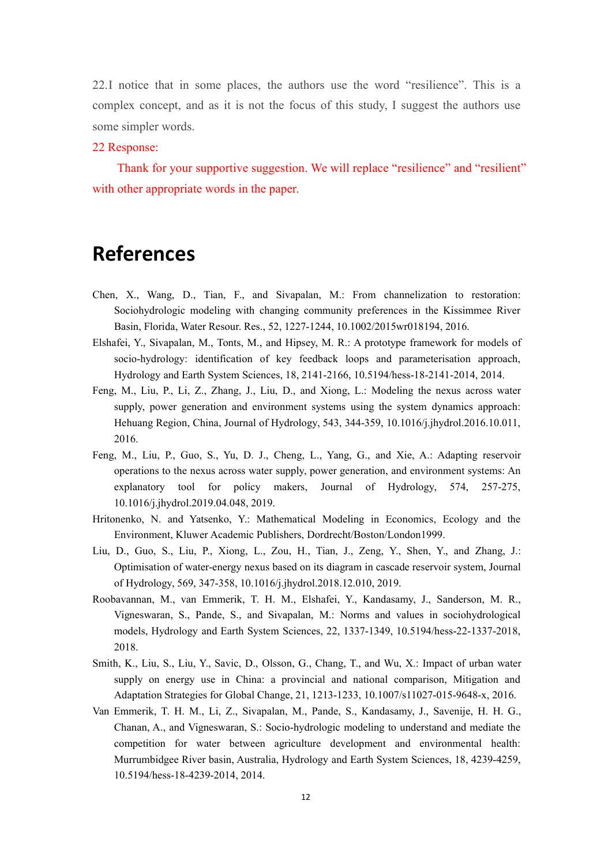22.I notice that in some places, the authors use the word "resilience". This is a complex concept, and as it is not the focus of this study, I suggest the authors use some simpler words.

#### 22 Response:

Thank for your supportive suggestion. We will replace "resilience" and "resilient" with other appropriate words in the paper.

# **References**

- Chen, X., Wang, D., Tian, F., and Sivapalan, M.: From channelization to restoration: Sociohydrologic modeling with changing community preferences in the Kissimmee River Basin, Florida, Water Resour. Res., 52, 1227-1244, 10.1002/2015wr018194, 2016.
- Elshafei, Y., Sivapalan, M., Tonts, M., and Hipsey, M. R.: A prototype framework for models of socio-hydrology: identification of key feedback loops and parameterisation approach, Hydrology and Earth System Sciences, 18, 2141-2166, 10.5194/hess-18-2141-2014, 2014.
- Feng, M., Liu, P., Li, Z., Zhang, J., Liu, D., and Xiong, L.: Modeling the nexus across water supply, power generation and environment systems using the system dynamics approach: Hehuang Region, China, Journal of Hydrology, 543, 344-359, 10.1016/j.jhydrol.2016.10.011, 2016.
- Feng, M., Liu, P., Guo, S., Yu, D. J., Cheng, L., Yang, G., and Xie, A.: Adapting reservoir operations to the nexus across water supply, power generation, and environment systems: An explanatory tool for policy makers, Journal of Hydrology, 574, 257-275, 10.1016/j.jhydrol.2019.04.048, 2019.
- Hritonenko, N. and Yatsenko, Y.: Mathematical Modeling in Economics, Ecology and the Environment, Kluwer Academic Publishers, Dordrecht/Boston/London1999.
- Liu, D., Guo, S., Liu, P., Xiong, L., Zou, H., Tian, J., Zeng, Y., Shen, Y., and Zhang, J.: Optimisation of water-energy nexus based on its diagram in cascade reservoir system, Journal of Hydrology, 569, 347-358, 10.1016/j.jhydrol.2018.12.010, 2019.
- Roobavannan, M., van Emmerik, T. H. M., Elshafei, Y., Kandasamy, J., Sanderson, M. R., Vigneswaran, S., Pande, S., and Sivapalan,M.: Norms and values in sociohydrological models, Hydrology and Earth System Sciences, 22, 1337-1349, 10.5194/hess-22-1337-2018, 2018.
- Smith, K., Liu, S., Liu, Y., Savic, D., Olsson, G., Chang, T., and Wu, X.: Impact of urban water supply on energy use in China: a provincial and national comparison, Mitigation and Adaptation Strategies for Global Change, 21, 1213-1233, 10.1007/s11027-015-9648-x, 2016.
- Van Emmerik, T. H. M., Li, Z., Sivapalan, M., Pande, S., Kandasamy, J., Savenije, H. H. G., Chanan, A., and Vigneswaran, S.: Socio-hydrologic modeling to understand and mediate the competition for water between agriculture development and environmental health: Murrumbidgee River basin, Australia, Hydrology and Earth System Sciences, 18, 4239-4259, 10.5194/hess-18-4239-2014, 2014.